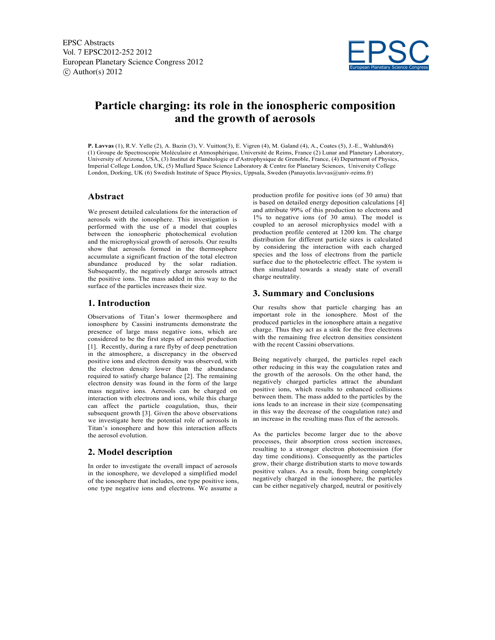

# **Particle charging: its role in the ionospheric composition and the growth of aerosols**

**P. Lavvas** (1), R.V. Yelle (2), A. Bazin (3), V. Vuitton(3), E. Vigren (4), M. Galand (4), A., Coates (5), J.-E., Wahlund(6) (1) Groupe de Spectroscopie Moléculaire et Atmosphérique, Université de Reims, France (2) Lunar and Planetary Laboratory, University of Arizona, USA, (3) Institut de Planétologie et d'Astrophysique de Grenoble, France, (4) Department of Physics, Imperial College London, UK, (5) Mullard Space Science Laboratory & Centre for Planetary Sciences, University College London, Dorking, UK (6) Swedish Institute of Space Physics, Uppsala, Sweden (Panayotis.lavvas@univ-reims.fr)

## **Abstract**

We present detailed calculations for the interaction of aerosols with the ionosphere. This investigation is performed with the use of a model that couples between the ionospheric photochemical evolution and the microphysical growth of aerosols. Our results show that aerosols formed in the thermosphere accumulate a significant fraction of the total electron abundance produced by the solar radiation. Subsequently, the negatively charge aerosols attract the positive ions. The mass added in this way to the surface of the particles increases their size.

### **1. Introduction**

Observations of Titan's lower thermosphere and ionosphere by Cassini instruments demonstrate the presence of large mass negative ions, which are considered to be the first steps of aerosol production [1]. Recently, during a rare flyby of deep penetration in the atmosphere, a discrepancy in the observed positive ions and electron density was observed, with the electron density lower than the abundance required to satisfy charge balance [2]. The remaining electron density was found in the form of the large mass negative ions. Aerosols can be charged on interaction with electrons and ions, while this charge can affect the particle coagulation, thus, their subsequent growth [3]. Given the above observations we investigate here the potential role of aerosols in Titan's ionosphere and how this interaction affects the aerosol evolution.

## **2. Model description**

In order to investigate the overall impact of aerosols in the ionosphere, we developed a simplified model of the ionosphere that includes, one type positive ions, one type negative ions and electrons. We assume a

production profile for positive ions (of 30 amu) that is based on detailed energy deposition calculations [4] and attribute 99% of this production to electrons and 1% to negative ions (of 30 amu). The model is coupled to an aerosol microphysics model with a production profile centered at 1200 km. The charge distribution for different particle sizes is calculated by considering the interaction with each charged species and the loss of electrons from the particle surface due to the photoelectric effect. The system is then simulated towards a steady state of overall charge neutrality.

## **3. Summary and Conclusions**

Our results show that particle charging has an important role in the ionosphere. Most of the produced particles in the ionosphere attain a negative charge. Thus they act as a sink for the free electrons with the remaining free electron densities consistent with the recent Cassini observations.

Being negatively charged, the particles repel each other reducing in this way the coagulation rates and the growth of the aerosols. On the other hand, the negatively charged particles attract the abundant positive ions, which results to enhanced collisions between them. The mass added to the particles by the ions leads to an increase in their size (compensating in this way the decrease of the coagulation rate) and an increase in the resulting mass flux of the aerosols.

As the particles become larger due to the above processes, their absorption cross section increases, resulting to a stronger electron photoemission (for day time conditions). Consequently as the particles grow, their charge distribution starts to move towards positive values. As a result, from being completely negatively charged in the ionosphere, the particles can be either negatively charged, neutral or positively